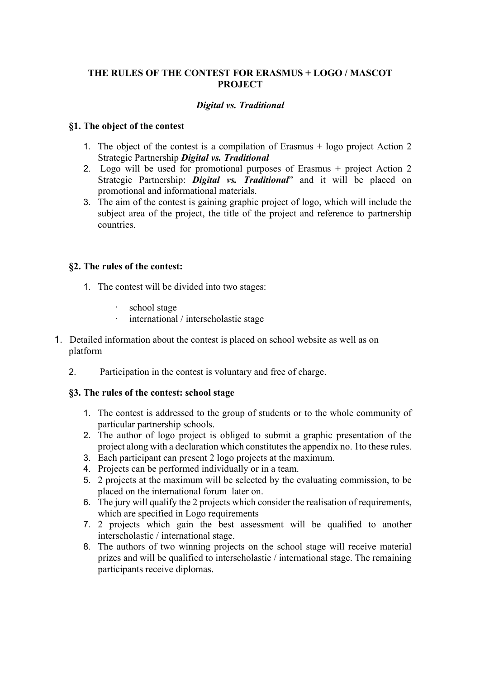# **THE RULES OF THE CONTEST FOR ERASMUS + LOGO / MASCOT PROJECT**

## *Digital vs. Traditional*

### **§1. The object of the contest**

- 1. The object of the contest is a compilation of Erasmus + logo project Action 2 Strategic Partnership *Digital vs. Traditional*
- 2. Logo will be used for promotional purposes of Erasmus + project Action 2 Strategic Partnership: *Digital vs. Traditional*" and it will be placed on promotional and informational materials.
- 3. The aim of the contest is gaining graphic project of logo, which will include the subject area of the project, the title of the project and reference to partnership countries.

### **§2. The rules of the contest:**

- 1. The contest will be divided into two stages:
	- school stage
	- · international / interscholastic stage
- 1. Detailed information about the contest is placed on school website as well as on platform
	- 2. Participation in the contest is voluntary and free of charge.

# **§3. The rules of the contest: school stage**

- 1. The contest is addressed to the group of students or to the whole community of particular partnership schools.
- 2. The author of logo project is obliged to submit a graphic presentation of the project along with a declaration which constitutes the appendix no. 1to these rules.
- 3. Each participant can present 2 logo projects at the maximum.
- 4. Projects can be performed individually or in a team.
- 5. 2 projects at the maximum will be selected by the evaluating commission, to be placed on the international forum later on.
- 6. The jury will qualify the 2 projects which consider the realisation of requirements, which are specified in Logo requirements
- 7. 2 projects which gain the best assessment will be qualified to another interscholastic / international stage.
- 8. The authors of two winning projects on the school stage will receive material prizes and will be qualified to interscholastic / international stage. The remaining participants receive diplomas.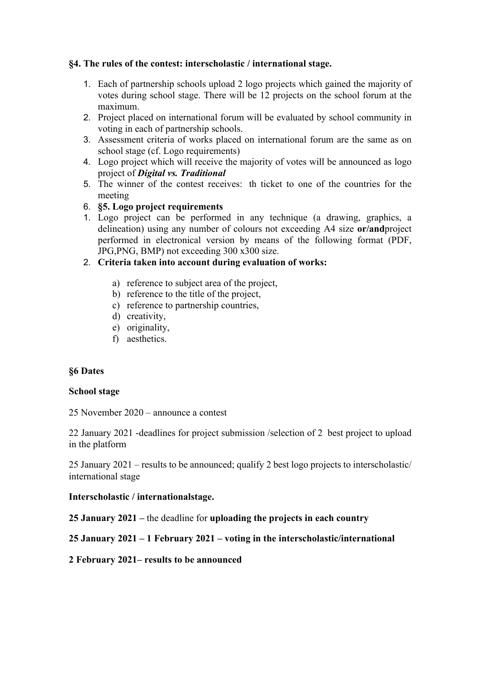### **§4. The rules of the contest: interscholastic / international stage.**

- 1. Each of partnership schools upload 2 logo projects which gained the majority of votes during school stage. There will be 12 projects on the school forum at the maximum.
- 2. Project placed on international forum will be evaluated by school community in voting in each of partnership schools.
- 3. Assessment criteria of works placed on international forum are the same as on school stage (cf. Logo requirements)
- 4. Logo project which will receive the majority of votes will be announced as logo project of *Digital vs. Traditional*
- 5. The winner of the contest receives: th ticket to one of the countries for the meeting
- 6. **§5. Logo project requirements**
- 1. Logo project can be performed in any technique (a drawing, graphics, a delineation) using any number of colours not exceeding A4 size **or/and**project performed in electronical version by means of the following format (PDF, JPG,PNG, BMP) not exceeding 300 x300 size.
- 2. **Criteria taken into account during evaluation of works:**
	- a) reference to subject area of the project,
	- b) reference to the title of the project,
	- c) reference to partnership countries,
	- d) creativity,
	- e) originality,
	- f) aesthetics.

#### **§6 Dates**

#### **School stage**

25 November 2020 – announce a contest

22 January 2021 -deadlines for project submission /selection of 2 best project to upload in the platform

25 January 2021 – results to be announced; qualify 2 best logo projects to interscholastic/ international stage

#### **Interscholastic / internationalstage.**

**25 January 2021 –** the deadline for **uploading the projects in each country**

# **25 January 2021 – 1 February 2021 – voting in the interscholastic/international**

**2 February 2021– results to be announced**